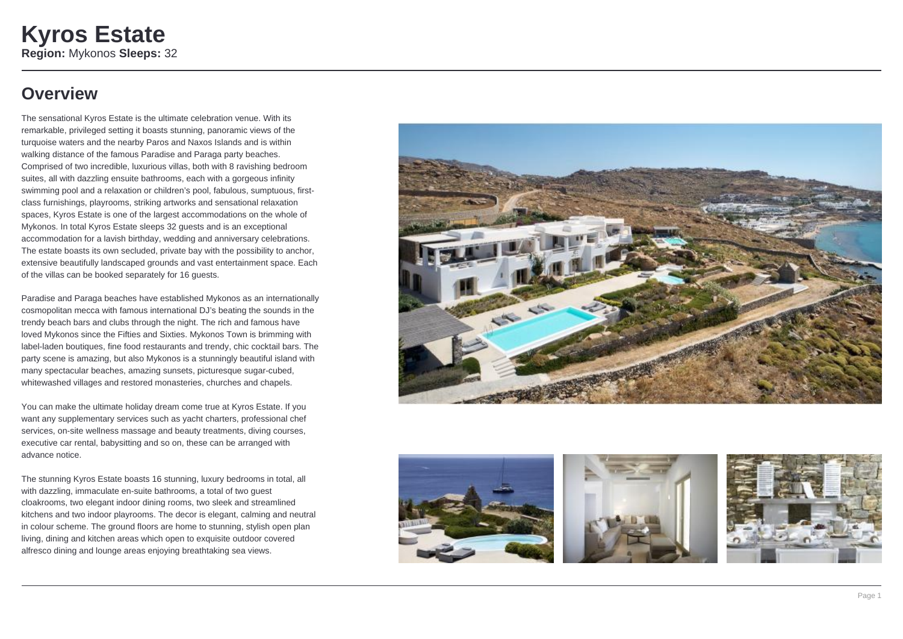# **Overview**

The sensational Kyros Estate is the ultimate celebration venue. With its remarkable, privileged setting it boasts stunning, panoramic views of the turquoise waters and the nearby Paros and Naxos Islands and is within walking distance of the famous Paradise and Paraga party beaches. Comprised of two incredible, luxurious villas, both with 8 ravishing bedroom suites, all with dazzling ensuite bathrooms, each with a gorgeous infinity swimming pool and a relaxation or children's pool, fabulous, sumptuous, firstclass furnishings, playrooms, striking artworks and sensational relaxation spaces, Kyros Estate is one of the largest accommodations on the whole of Mykonos. In total Kyros Estate sleeps 32 guests and is an exceptional accommodation for a lavish birthday, wedding and anniversary celebrations. The estate boasts its own secluded, private bay with the possibility to anchor, extensive beautifully landscaped grounds and vast entertainment space. Each of the villas can be booked separately for 16 guests.

Paradise and Paraga beaches have established Mykonos as an internationally cosmopolitan mecca with famous international DJ's beating the sounds in the trendy beach bars and clubs through the night. The rich and famous have loved Mykonos since the Fifties and Sixties. Mykonos Town is brimming with label-laden boutiques, fine food restaurants and trendy, chic cocktail bars. The party scene is amazing, but also Mykonos is a stunningly beautiful island with many spectacular beaches, amazing sunsets, picturesque sugar-cubed, whitewashed villages and restored monasteries, churches and chapels.

You can make the ultimate holiday dream come true at Kyros Estate. If you want any supplementary services such as yacht charters, professional chef services, on-site wellness massage and beauty treatments, diving courses, executive car rental, babysitting and so on, these can be arranged with advance notice.

The stunning Kyros Estate boasts 16 stunning, luxury bedrooms in total, all with dazzling, immaculate en-suite bathrooms, a total of two guest cloakrooms, two elegant indoor dining rooms, two sleek and streamlined kitchens and two indoor playrooms. The decor is elegant, calming and neutral in colour scheme. The ground floors are home to stunning, stylish open plan living, dining and kitchen areas which open to exquisite outdoor covered alfresco dining and lounge areas enjoying breathtaking sea views.







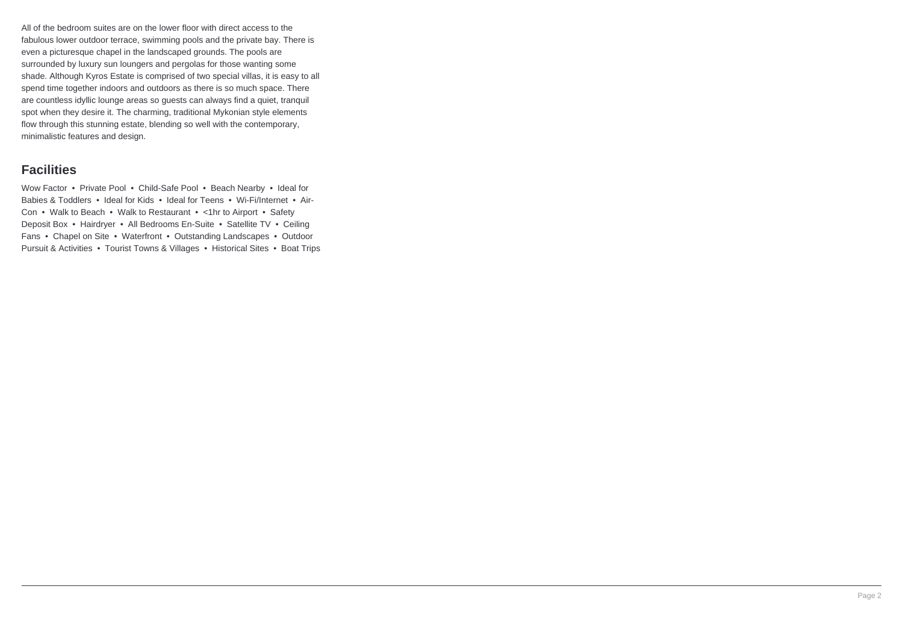All of the bedroom suites are on the lower floor with direct access to the fabulous lower outdoor terrace, swimming pools and the private bay. There is even a picturesque chapel in the landscaped grounds. The pools are surrounded by luxury sun loungers and pergolas for those wanting some shade. Although Kyros Estate is comprised of two special villas, it is easy to all spend time together indoors and outdoors as there is so much space. There are countless idyllic lounge areas so guests can always find a quiet, tranquil spot when they desire it. The charming, traditional Mykonian style elements flow through this stunning estate, blending so well with the contemporary, minimalistic features and design.

### **Facilities**

Wow Factor • Private Pool • Child-Safe Pool • Beach Nearby • Ideal for Babies & Toddlers • Ideal for Kids • Ideal for Teens • Wi-Fi/Internet • Air-Con • Walk to Beach • Walk to Restaurant • <1hr to Airport • Safety Deposit Box • Hairdryer • All Bedrooms En-Suite • Satellite TV • Ceiling Fans • Chapel on Site • Waterfront • Outstanding Landscapes • Outdoor Pursuit & Activities • Tourist Towns & Villages • Historical Sites • Boat Trips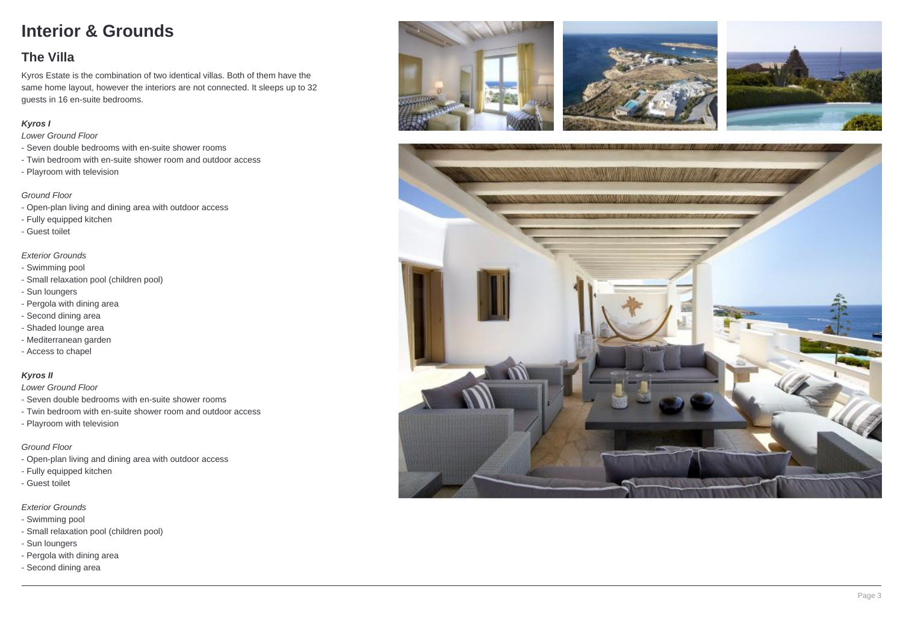# **Interior & Grounds**

## **The Villa**

Kyros Estate is the combination of two identical villas. Both of them have the same home layout, however the interiors are not connected. It sleeps up to 32 guests in 16 en-suite bedrooms.

#### **Kyros I**

Lower Ground Floor

- Seven double bedrooms with en-suite shower rooms
- Twin bedroom with en-suite shower room and outdoor access
- Playroom with television

#### Ground Floor

- Open-plan living and dining area with outdoor access
- Fully equipped kitchen
- Guest toilet

#### Exterior Grounds

- Swimming pool
- Small relaxation pool (children pool)
- Sun loungers
- Pergola with dining area
- Second dining area
- Shaded lounge area
- Mediterranean garden
- Access to chapel

#### **Kyros II**

Lower Ground Floor

- Seven double bedrooms with en-suite shower rooms
- Twin bedroom with en-suite shower room and outdoor access
- Playroom with television

#### Ground Floor

- Open-plan living and dining area with outdoor access
- Fully equipped kitchen
- Guest toilet

Exterior Grounds

- Swimming pool
- Small relaxation pool (children pool)
- Sun loungers
- Pergola with dining area
- Second dining area







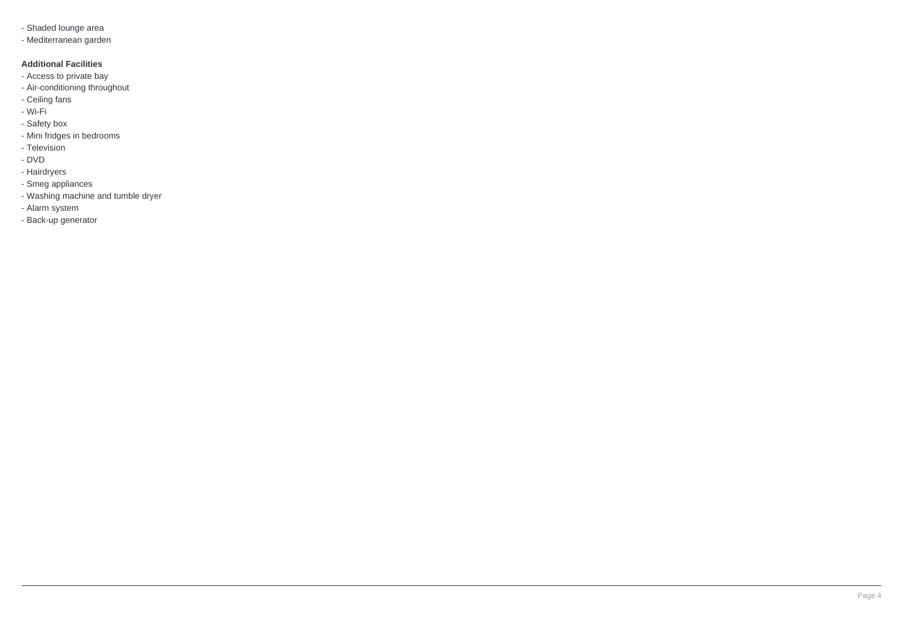- Shaded lounge area
- Mediterranean garden

#### **Additional Facilities**

- Access to private bay
- Air-conditioning throughout
- Ceiling fans
- Wi-Fi
- Safety box
- Mini fridges in bedrooms
- Television
- DVD
- Hairdryers
- Smeg appliances
- Washing machine and tumble dryer
- Alarm system
- Back-up generator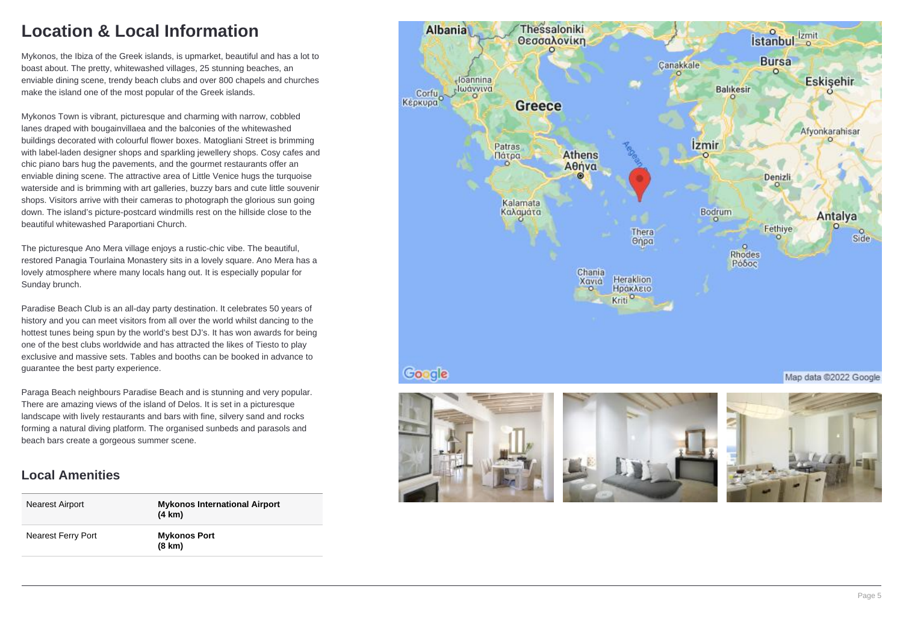# **Location & Local Information**

Mykonos, the Ibiza of the Greek islands, is upmarket, beautiful and has a lot to boast about. The pretty, whitewashed villages, 25 stunning beaches, an enviable dining scene, trendy beach clubs and over 800 chapels and churches make the island one of the most popular of the Greek islands.

Mykonos Town is vibrant, picturesque and charming with narrow, cobbled lanes draped with bougainvillaea and the balconies of the whitewashed buildings decorated with colourful flower boxes. Matogliani Street is brimming with label-laden designer shops and sparkling jewellery shops. Cosy cafes and chic piano bars hug the pavements, and the gourmet restaurants offer an enviable dining scene. The attractive area of Little Venice hugs the turquoise waterside and is brimming with art galleries, buzzy bars and cute little souvenir shops. Visitors arrive with their cameras to photograph the glorious sun going down. The island's picture-postcard windmills rest on the hillside close to the beautiful whitewashed Paraportiani Church.

The picturesque Ano Mera village enjoys a rustic-chic vibe. The beautiful, restored Panagia Tourlaina Monastery sits in a lovely square. Ano Mera has a lovely atmosphere where many locals hang out. It is especially popular for Sunday brunch.

Paradise Beach Club is an all-day party destination. It celebrates 50 years of history and you can meet visitors from all over the world whilst dancing to the hottest tunes being spun by the world's best DJ's. It has won awards for being one of the best clubs worldwide and has attracted the likes of Tiesto to play exclusive and massive sets. Tables and booths can be booked in advance to guarantee the best party experience.

Paraga Beach neighbours Paradise Beach and is stunning and very popular. There are amazing views of the island of Delos. It is set in a picturesque landscape with lively restaurants and bars with fine, silvery sand and rocks forming a natural diving platform. The organised sunbeds and parasols and beach bars create a gorgeous summer scene.

### **Local Amenities**

| Nearest Airport           | <b>Mykonos International Airport</b><br>(4 km) |
|---------------------------|------------------------------------------------|
| <b>Nearest Ferry Port</b> | <b>Mykonos Port</b><br>$(8 \text{ km})$        |







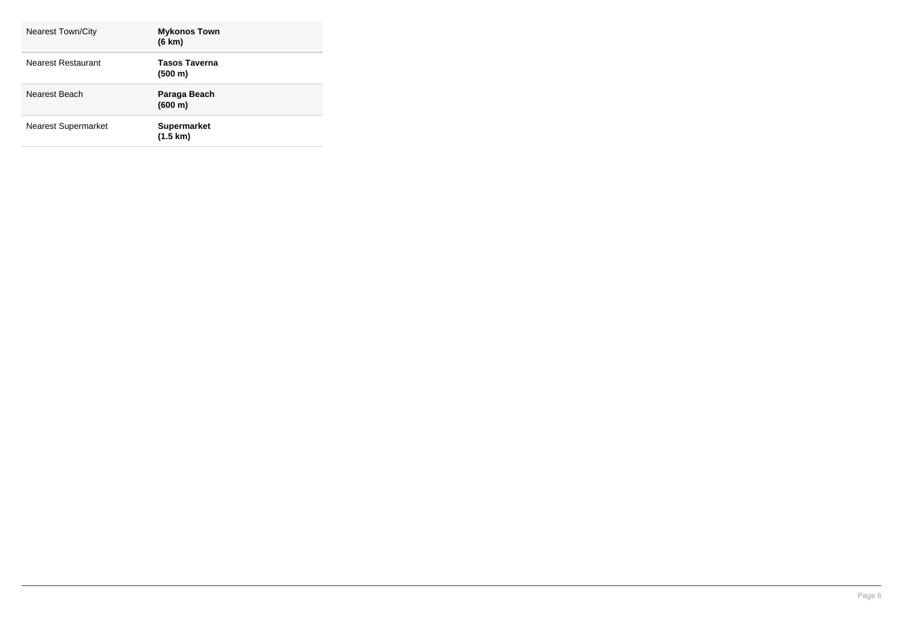| Nearest Town/City          | <b>Mykonos Town</b><br>(6 km)            |
|----------------------------|------------------------------------------|
| Nearest Restaurant         | <b>Tasos Taverna</b><br>(500 m)          |
| Nearest Beach              | Paraga Beach<br>(600 m)                  |
| <b>Nearest Supermarket</b> | <b>Supermarket</b><br>$(1.5 \text{ km})$ |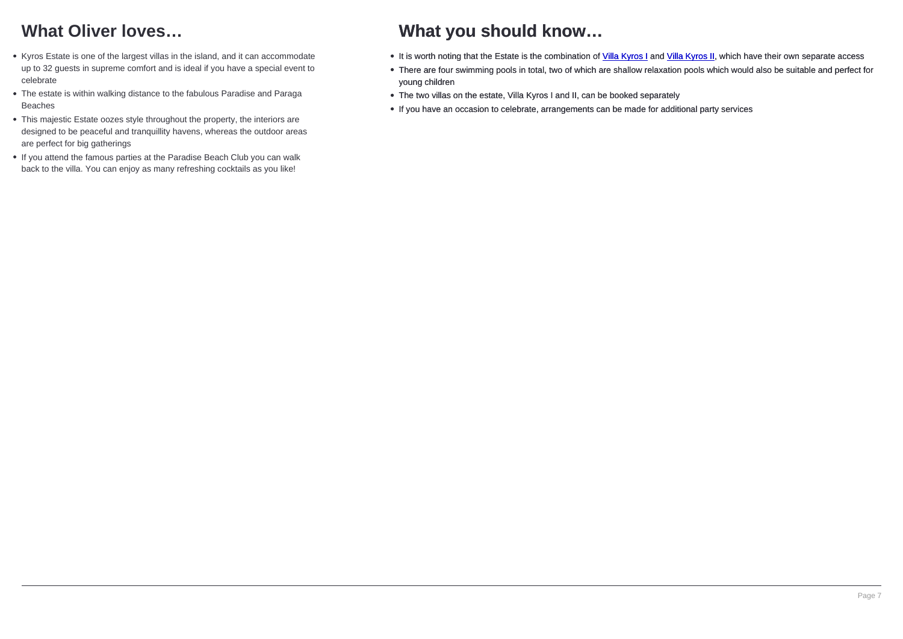## What Oliver loves...

- Kyros Estate is one of the largest villas in the island, and it can accommodate up to 32 guests in supreme comfort and is ideal if you have a special event to celebrate
- The estate is within walking distance to the fabulous Paradise and Paraga Beaches
- This majestic Estate oozes style throughout the property, the interiors are designed to be peaceful and tranquillity havens, whereas the outdoor areas are perfect for big gatherings
- If you attend the famous parties at the Paradise Beach Club you can walk back to the villa. You can enjoy as many refreshing cocktails as you like!

## What you should know…

- It is worth noting that the Estate is the combination of Villa Kyros I and Villa Kyros I
- There are four swimming pools in total, two of which are shallow rela young children
- The two villas on the estate, Villa Kyros I and II, can be booked separately
- If you have an occasion to celebrate, arrangements can be made for